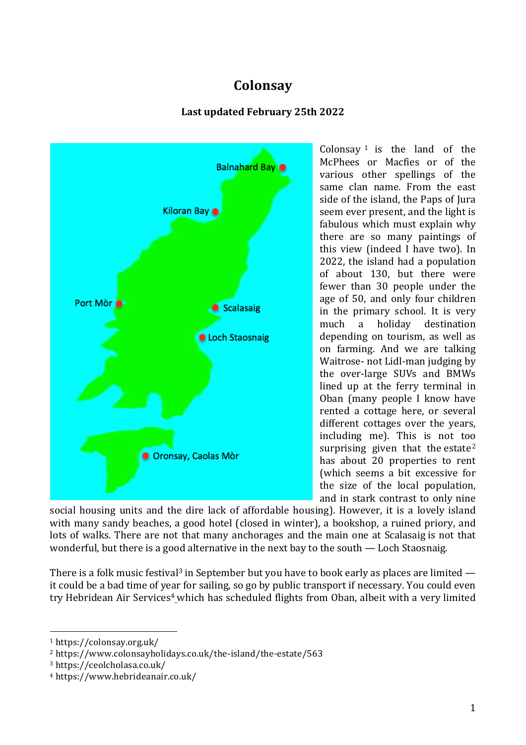# **Colonsay**

# **Last updated February 25th 2022**



Colonsay  $1$  is the land of the McPhees or Macfies or of the various other spellings of the same clan name. From the east side of the island, the Paps of Jura seem ever present, and the light is fabulous which must explain why there are so many paintings of this view (indeed I have two). In 2022, the island had a population of about 130, but there were fewer than 30 people under the age of 50, and only four children in the primary school. It is very much a holiday destination depending on tourism, as well as on farming. And we are talking Waitrose- not Lidl-man judging by the over-large SUVs and BMWs lined up at the ferry terminal in Oban (many people I know have rented a cottage here, or several different cottages over the years, including me). This is not too surprising given that the estate<sup>2</sup> has about 20 properties to rent (which seems a bit excessive for the size of the local population, and in stark contrast to only nine

social housing units and the dire lack of affordable housing). However, it is a lovely island with many sandy beaches, a good hotel (closed in winter), a bookshop, a ruined priory, and lots of walks. There are not that many anchorages and the main one at Scalasaig is not that wonderful, but there is a good alternative in the next bay to the south — Loch Staosnaig.

There is a folk music festival<sup>3</sup> in September but you have to book early as places are limited  $$ it could be a bad time of year for sailing, so go by public transport if necessary. You could even try Hebridean Air Services<sup>4</sup> which has scheduled flights from Oban, albeit with a very limited

<sup>1</sup> https://colonsay.org.uk/

<sup>2</sup> https://www.colonsayholidays.co.uk/the-island/the-estate/563

<sup>3</sup> https://ceolcholasa.co.uk/

<sup>4</sup> https://www.hebrideanair.co.uk/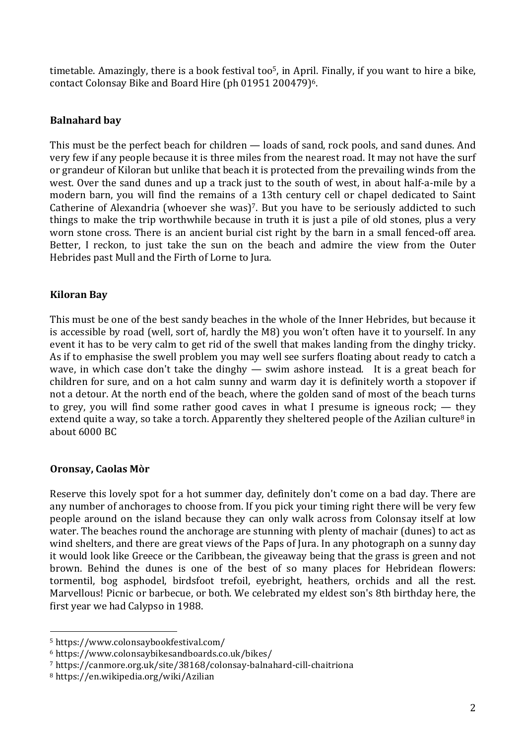timetable. Amazingly, there is a book festival too<sup>5</sup>, in April. Finally, if you want to hire a bike, contact Colonsay Bike and Board Hire (ph 01951 200479)6.

#### **Balnahard bay**

This must be the perfect beach for children — loads of sand, rock pools, and sand dunes. And very few if any people because it is three miles from the nearest road. It may not have the surf or grandeur of Kiloran but unlike that beach it is protected from the prevailing winds from the west. Over the sand dunes and up a track just to the south of west, in about half-a-mile by a modern barn, you will find the remains of a 13th century cell or chapel dedicated to Saint Catherine of Alexandria (whoever she was)<sup>7</sup>. But you have to be seriously addicted to such things to make the trip worthwhile because in truth it is just a pile of old stones, plus a very worn stone cross. There is an ancient burial cist right by the barn in a small fenced-off area. Better, I reckon, to just take the sun on the beach and admire the view from the Outer Hebrides past Mull and the Firth of Lorne to Jura.

#### **Kiloran Bay**

This must be one of the best sandy beaches in the whole of the Inner Hebrides, but because it is accessible by road (well, sort of, hardly the M8) you won't often have it to yourself. In any event it has to be very calm to get rid of the swell that makes landing from the dinghy tricky. As if to emphasise the swell problem you may well see surfers floating about ready to catch a wave, in which case don't take the dinghy — swim ashore instead. It is a great beach for children for sure, and on a hot calm sunny and warm day it is definitely worth a stopover if not a detour. At the north end of the beach, where the golden sand of most of the beach turns to grey, you will find some rather good caves in what I presume is igneous rock; — they extend quite a way, so take a torch. Apparently they sheltered people of the Azilian culture<sup>8</sup> in about 6000 BC

#### **Oronsay, Caolas Mòr**

Reserve this lovely spot for a hot summer day, definitely don't come on a bad day. There are any number of anchorages to choose from. If you pick your timing right there will be very few people around on the island because they can only walk across from Colonsay itself at low water. The beaches round the anchorage are stunning with plenty of machair (dunes) to act as wind shelters, and there are great views of the Paps of Jura. In any photograph on a sunny day it would look like Greece or the Caribbean, the giveaway being that the grass is green and not brown. Behind the dunes is one of the best of so many places for Hebridean flowers: tormentil, bog asphodel, birdsfoot trefoil, eyebright, heathers, orchids and all the rest. Marvellous! Picnic or barbecue, or both. We celebrated my eldest son's 8th birthday here, the first year we had Calypso in 1988.

<sup>5</sup> https://www.colonsaybookfestival.com/

<sup>6</sup> https://www.colonsaybikesandboards.co.uk/bikes/

<sup>7</sup> https://canmore.org.uk/site/38168/colonsay-balnahard-cill-chaitriona

<sup>8</sup> https://en.wikipedia.org/wiki/Azilian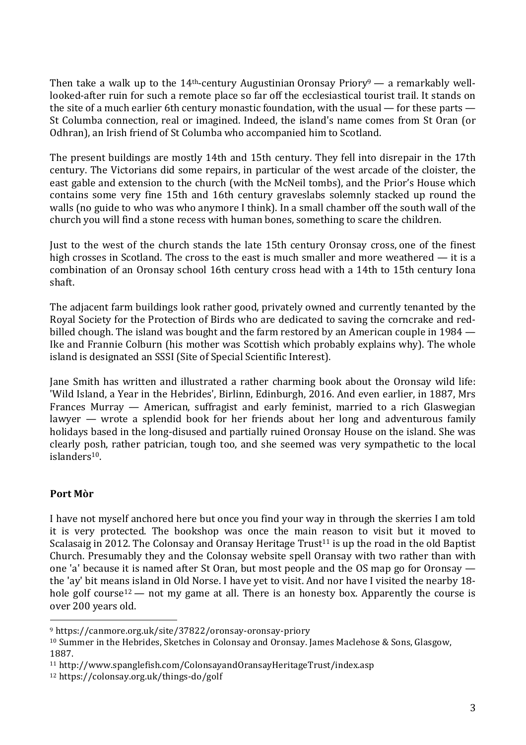Then take a walk up to the 14<sup>th</sup>-century Augustinian Oronsay Priory<sup>9</sup> — a remarkably welllooked-after ruin for such a remote place so far off the ecclesiastical tourist trail. It stands on the site of a much earlier 6th century monastic foundation, with the usual — for these parts — St Columba connection, real or imagined. Indeed, the island's name comes from St Oran (or Odhran), an Irish friend of St Columba who accompanied him to Scotland.

The present buildings are mostly 14th and 15th century. They fell into disrepair in the 17th century. The Victorians did some repairs, in particular of the west arcade of the cloister, the east gable and extension to the church (with the McNeil tombs), and the Prior's House which contains some very fine 15th and 16th century graveslabs solemnly stacked up round the walls (no guide to who was who anymore I think). In a small chamber off the south wall of the church you will find a stone recess with human bones, something to scare the children.

Just to the west of the church stands the late 15th century Oronsay cross, one of the finest high crosses in Scotland. The cross to the east is much smaller and more weathered — it is a combination of an Oronsay school 16th century cross head with a 14th to 15th century Iona shaft.

The adjacent farm buildings look rather good, privately owned and currently tenanted by the Royal Society for the Protection of Birds who are dedicated to saving the corncrake and redbilled chough. The island was bought and the farm restored by an American couple in 1984 — Ike and Frannie Colburn (his mother was Scottish which probably explains why). The whole island is designated an SSSI (Site of Special Scientific Interest).

Jane Smith has written and illustrated a rather charming book about the Oronsay wild life: 'Wild Island, a Year in the Hebrides', Birlinn, Edinburgh, 2016. And even earlier, in 1887, Mrs Frances Murray — American, suffragist and early feminist, married to a rich Glaswegian lawyer — wrote a splendid book for her friends about her long and adventurous family holidays based in the long-disused and partially ruined Oronsay House on the island. She was clearly posh, rather patrician, tough too, and she seemed was very sympathetic to the local islanders10.

### **Port Mòr**

I have not myself anchored here but once you find your way in through the skerries I am told it is very protected. The bookshop was once the main reason to visit but it moved to Scalasaig in 2012. The Colonsay and Oransay Heritage Trust<sup>11</sup> is up the road in the old Baptist Church. Presumably they and the Colonsay website spell Oransay with two rather than with one 'a' because it is named after St Oran, but most people and the OS map go for Oronsay the 'ay' bit means island in Old Norse. I have yet to visit. And nor have I visited the nearby 18 hole golf course<sup>12</sup> — not my game at all. There is an honesty box. Apparently the course is over 200 years old.

<sup>9</sup> https://canmore.org.uk/site/37822/oronsay-oronsay-priory

<sup>&</sup>lt;sup>10</sup> Summer in the Hebrides, Sketches in Colonsay and Oronsay. James Maclehose & Sons, Glasgow, 1887.

<sup>11</sup> http://www.spanglefish.com/ColonsayandOransayHeritageTrust/index.asp

<sup>12</sup> https://colonsay.org.uk/things-do/golf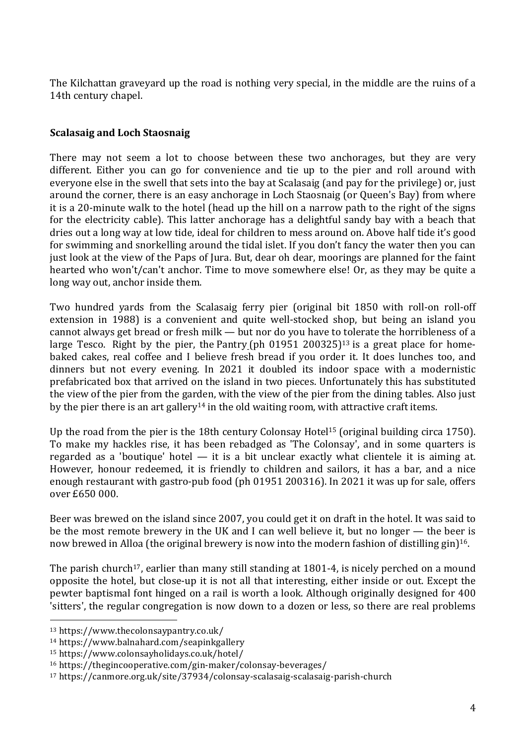The Kilchattan graveyard up the road is nothing very special, in the middle are the ruins of a 14th century chapel.

## **Scalasaig and Loch Staosnaig**

There may not seem a lot to choose between these two anchorages, but they are very different. Either you can go for convenience and tie up to the pier and roll around with everyone else in the swell that sets into the bay at Scalasaig (and pay for the privilege) or, just around the corner, there is an easy anchorage in Loch Staosnaig (or Queen's Bay) from where it is a 20-minute walk to the hotel (head up the hill on a narrow path to the right of the signs for the electricity cable). This latter anchorage has a delightful sandy bay with a beach that dries out a long way at low tide, ideal for children to mess around on. Above half tide it's good for swimming and snorkelling around the tidal islet. If you don't fancy the water then you can just look at the view of the Paps of Jura. But, dear oh dear, moorings are planned for the faint hearted who won't/can't anchor. Time to move somewhere else! Or, as they may be quite a long way out, anchor inside them.

Two hundred yards from the Scalasaig ferry pier (original bit 1850 with roll-on roll-off extension in 1988) is a convenient and quite well-stocked shop, but being an island you cannot always get bread or fresh milk — but nor do you have to tolerate the horribleness of a large Tesco. Right by the pier, the Pantry (ph 01951 200325)13 is a great place for homebaked cakes, real coffee and I believe fresh bread if you order it. It does lunches too, and dinners but not every evening. In 2021 it doubled its indoor space with a modernistic prefabricated box that arrived on the island in two pieces. Unfortunately this has substituted the view of the pier from the garden, with the view of the pier from the dining tables. Also just by the pier there is an art gallery<sup>14</sup> in the old waiting room, with attractive craft items.

Up the road from the pier is the 18th century Colonsay Hotel15 (original building circa 1750). To make my hackles rise, it has been rebadged as 'The Colonsay', and in some quarters is regarded as a 'boutique' hotel  $-$  it is a bit unclear exactly what clientele it is aiming at. However, honour redeemed, it is friendly to children and sailors, it has a bar, and a nice enough restaurant with gastro-pub food (ph 01951 200316). In 2021 it was up for sale, offers over £650 000.

Beer was brewed on the island since 2007, you could get it on draft in the hotel. It was said to be the most remote brewery in the UK and I can well believe it, but no longer — the beer is now brewed in Alloa (the original brewery is now into the modern fashion of distilling gin)<sup>16</sup>.

The parish church<sup>17</sup>, earlier than many still standing at  $1801-4$ , is nicely perched on a mound opposite the hotel, but close-up it is not all that interesting, either inside or out. Except the pewter baptismal font hinged on a rail is worth a look. Although originally designed for 400 'sitters', the regular congregation is now down to a dozen or less, so there are real problems

<sup>13</sup> https://www.thecolonsaypantry.co.uk/

<sup>14</sup> https://www.balnahard.com/seapinkgallery

<sup>15</sup> https://www.colonsayholidays.co.uk/hotel/

<sup>16</sup> https://thegincooperative.com/gin-maker/colonsay-beverages/

<sup>17</sup> https://canmore.org.uk/site/37934/colonsay-scalasaig-scalasaig-parish-church